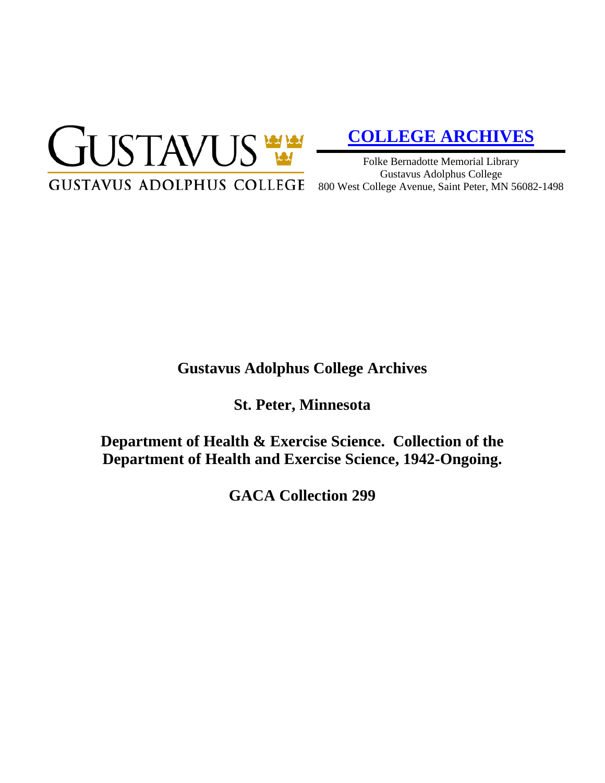

# **[COLLEGE ARCHIVES](http://gustavus.edu/academics/library/archives/)**

Folke Bernadotte Memorial Library Gustavus Adolphus College 800 West College Avenue, Saint Peter, MN 56082-1498

## **Gustavus Adolphus College Archives**

**St. Peter, Minnesota**

**Department of Health & Exercise Science. Collection of the Department of Health and Exercise Science, 1942-Ongoing.**

**GACA Collection 299**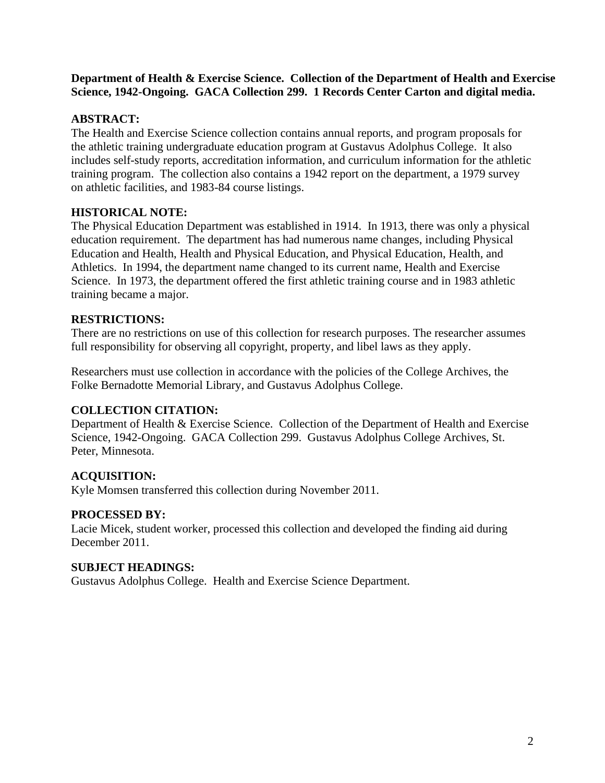**Department of Health & Exercise Science. Collection of the Department of Health and Exercise Science, 1942-Ongoing. GACA Collection 299. 1 Records Center Carton and digital media.**

#### **ABSTRACT:**

The Health and Exercise Science collection contains annual reports, and program proposals for the athletic training undergraduate education program at Gustavus Adolphus College. It also includes self-study reports, accreditation information, and curriculum information for the athletic training program. The collection also contains a 1942 report on the department, a 1979 survey on athletic facilities, and 1983-84 course listings.

### **HISTORICAL NOTE:**

The Physical Education Department was established in 1914. In 1913, there was only a physical education requirement. The department has had numerous name changes, including Physical Education and Health, Health and Physical Education, and Physical Education, Health, and Athletics. In 1994, the department name changed to its current name, Health and Exercise Science. In 1973, the department offered the first athletic training course and in 1983 athletic training became a major.

#### **RESTRICTIONS:**

There are no restrictions on use of this collection for research purposes. The researcher assumes full responsibility for observing all copyright, property, and libel laws as they apply.

Researchers must use collection in accordance with the policies of the College Archives, the Folke Bernadotte Memorial Library, and Gustavus Adolphus College.

#### **COLLECTION CITATION:**

Department of Health & Exercise Science. Collection of the Department of Health and Exercise Science, 1942-Ongoing. GACA Collection 299. Gustavus Adolphus College Archives, St. Peter, Minnesota.

#### **ACQUISITION:**

Kyle Momsen transferred this collection during November 2011.

#### **PROCESSED BY:**

Lacie Micek, student worker, processed this collection and developed the finding aid during December 2011.

#### **SUBJECT HEADINGS:**

Gustavus Adolphus College. Health and Exercise Science Department.